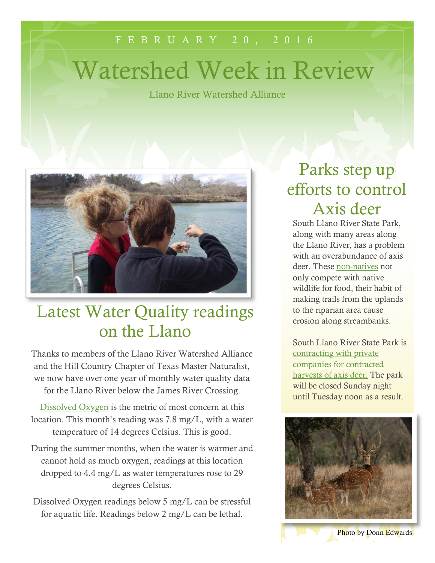#### F E B R U A R Y 2 0 , 2 0 1 6

# Watershed Week in Review

Llano River Watershed Alliance



### Latest Water Quality readings on the Llano

Thanks to members of the Llano River Watershed Alliance and the Hill Country Chapter of Texas Master Naturalist, we now have over one year of monthly water quality data for the Llano River below the James River Crossing.

[Dissolved Oxygen](http://water.usgs.gov/edu/dissolvedoxygen.html) is the metric of most concern at this location. This month's reading was 7.8 mg/L, with a water temperature of 14 degrees Celsius. This is good.

During the summer months, when the water is warmer and cannot hold as much oxygen, readings at this location dropped to 4.4 mg/L as water temperatures rose to 29 degrees Celsius.

Dissolved Oxygen readings below 5 mg/L can be stressful for aquatic life. Readings below 2 mg/L can be lethal.

### Parks step up efforts to control Axis deer

South Llano River State Park, along with many areas along the Llano River, has a problem with an overabundance of axis deer. These [non-natives](http://www.tsusinvasives.org/home/database/axis-axis) not only compete with native wildlife for food, their habit of making trails from the uplands to the riparian area cause erosion along streambanks.

South Llano River State Park is [contracting with private](http://tpwd.texas.gov/newsmedia/releases/?req=20160208b&utm_campaign=govdelivery-email&utm_medium=email&utm_source=govdelivery)  [companies for contracted](http://tpwd.texas.gov/newsmedia/releases/?req=20160208b&utm_campaign=govdelivery-email&utm_medium=email&utm_source=govdelivery)  harvests [of axis deer.](http://tpwd.texas.gov/newsmedia/releases/?req=20160208b&utm_campaign=govdelivery-email&utm_medium=email&utm_source=govdelivery) The park will be closed Sunday night until Tuesday noon as a result.



Photo by Donn Edwards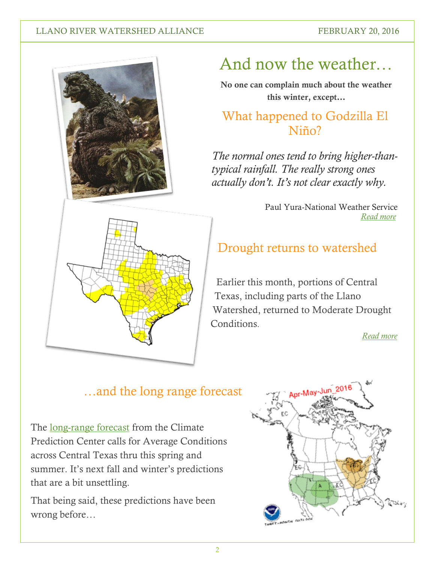#### LLANO RIVER WATERSHED ALLIANCE FEBRUARY 20, 2016



### And now the weather…

**No one can complain much about the weather this winter, except…**

#### What happened to Godzilla El Niño?

*The normal ones tend to bring higher-thantypical rainfall. The really strong ones actually don't. It's not clear exactly why.*

> Paul Yura-National Weather Service  *[Read more](http://weather.blog.statesman.com/2016/02/12/wheres-that-godzilla-el-nino-that-was-supposed-to-make-austin-wetter-than-normal/)*

### Drought returns to watershed

Earlier this month, portions of Central Texas, including parts of the Llano Watershed, returned to Moderate Drought **Conditions** 

*[Read more](http://droughtmonitor.unl.edu/Home/StateDroughtMonitor.aspx?TX)*

#### …and the long range forecast

The [long-range forecast](http://www.cpc.noaa.gov/products/predictions/multi_season/13_seasonal_outlooks/color/p.gif) from the Climate Prediction Center calls for Average Conditions across Central Texas thru this spring and summer. It's next fall and winter's predictions that are a bit unsettling.

That being said, these predictions have been wrong before…

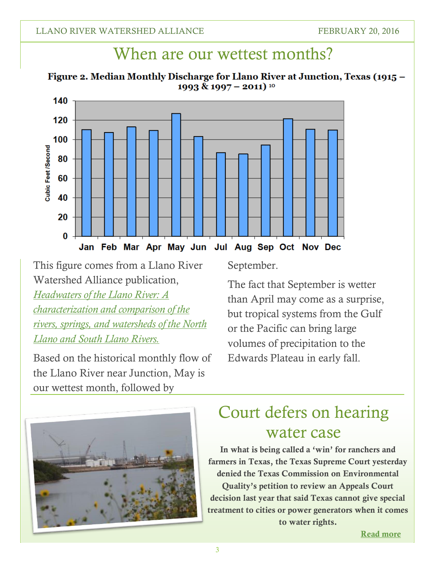### When are our wettest months?

Figure 2. Median Monthly Discharge for Llano River at Junction, Texas (1915 -1993 & 1997 – 2011) <sup>10</sup>



This figure comes from a Llano River Watershed Alliance publication, *[Headwaters of the Llano River: A](http://southllano.org/blog/wp-content/files/Headwaters%20of%20the%20Llano%20final%20document-2.pdf)  [characterization and comparison of the](http://southllano.org/blog/wp-content/files/Headwaters%20of%20the%20Llano%20final%20document-2.pdf)  [rivers, springs, and watersheds of the North](http://southllano.org/blog/wp-content/files/Headwaters%20of%20the%20Llano%20final%20document-2.pdf)  [Llano and South Llano Rivers.](http://southllano.org/blog/wp-content/files/Headwaters%20of%20the%20Llano%20final%20document-2.pdf)*

Based on the historical monthly flow of the Llano River near Junction, May is our wettest month, followed by

September.

The fact that September is wetter than April may come as a surprise, but tropical systems from the Gulf or the Pacific can bring large volumes of precipitation to the Edwards Plateau in early fall.



### Court defers on hearing water case

**In what is being called a 'win' for ranchers and farmers in Texas, the Texas Supreme Court yesterday denied the Texas Commission on Environmental Quality's petition to review an Appeals Court decision last year that said Texas cannot give special treatment to cities or power generators when it comes to water rights.**

 **[Read more](http://www.texastribune.org/2016/02/19/major-water-case-win-farmers-loss-cities/)**